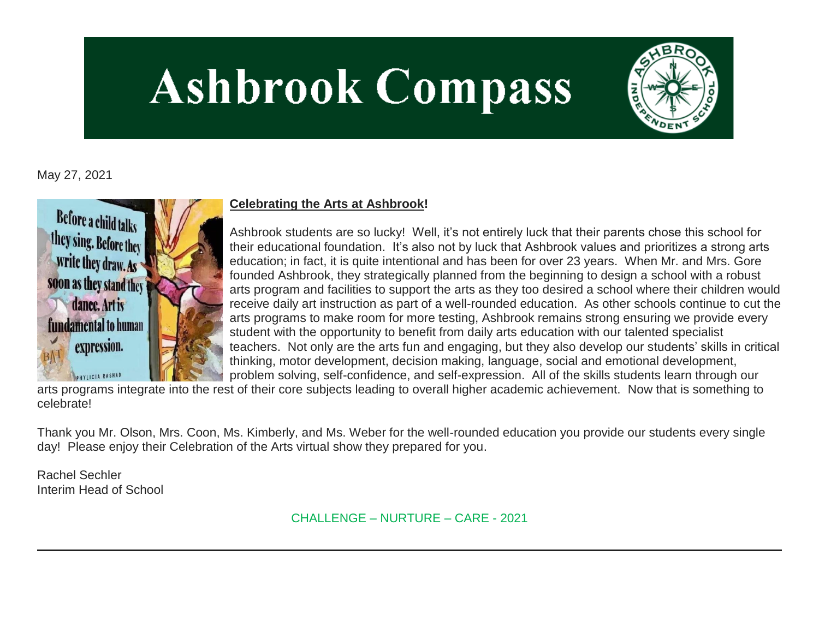# **Ashbrook Compass**



May 27, 2021



# **Celebrating the Arts at Ashbrook!**

Ashbrook students are so lucky! Well, it's not entirely luck that their parents chose this school for their educational foundation. It's also not by luck that Ashbrook values and prioritizes a strong arts education; in fact, it is quite intentional and has been for over 23 years. When Mr. and Mrs. Gore founded Ashbrook, they strategically planned from the beginning to design a school with a robust arts program and facilities to support the arts as they too desired a school where their children would receive daily art instruction as part of a well-rounded education. As other schools continue to cut the arts programs to make room for more testing, Ashbrook remains strong ensuring we provide every student with the opportunity to benefit from daily arts education with our talented specialist teachers. Not only are the arts fun and engaging, but they also develop our students' skills in critical thinking, motor development, decision making, language, social and emotional development, problem solving, self-confidence, and self-expression. All of the skills students learn through our

arts programs integrate into the rest of their core subjects leading to overall higher academic achievement. Now that is something to celebrate!

Thank you Mr. Olson, Mrs. Coon, Ms. Kimberly, and Ms. Weber for the well-rounded education you provide our students every single day! Please enjoy their Celebration of the Arts virtual show they prepared for you.

Rachel Sechler Interim Head of School

CHALLENGE – NURTURE – CARE - 2021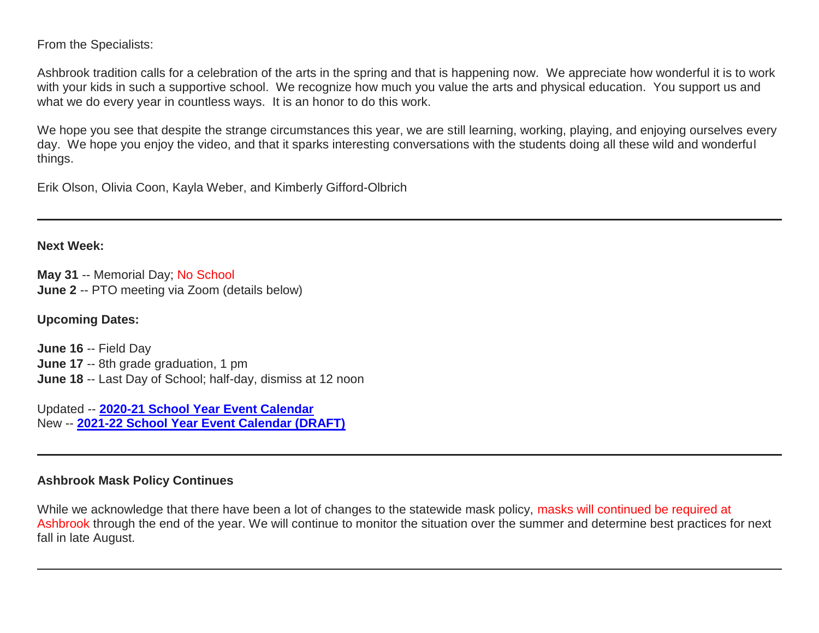From the Specialists:

Ashbrook tradition calls for a celebration of the arts in the spring and that is happening now. We appreciate how wonderful it is to work with your kids in such a supportive school. We recognize how much you value the arts and physical education. You support us and what we do every year in countless ways. It is an honor to do this work.

We hope you see that despite the strange circumstances this year, we are still learning, working, playing, and enjoying ourselves every day. We hope you enjoy the video, and that it sparks interesting conversations with the students doing all these wild and wonderful things.

Erik Olson, Olivia Coon, Kayla Weber, and Kimberly Gifford-Olbrich

#### **Next Week:**

**May 31** -- Memorial Day; No School **June 2** -- PTO meeting via Zoom (details below)

# **Upcoming Dates:**

**June 16** -- Field Day **June 17** -- 8th grade graduation, 1 pm **June 18** -- Last Day of School; half-day, dismiss at 12 noon

Updated -- **[2020-21 School Year Event Calendar](http://link.mystudentsprogress.com/ls/click?upn=t3AI3kjK1Pyk9qPfHnOahelBVVSIlRAa3GeSLMbkINmgHr3guxrPuqfp-2Bh-2FJW4nCZ4g8Gi3XkGXC-2FKATZbsSvlLtGaxynoxi8rg7wuoRjJ9ogb5HbX999Eip-2FZE6wLdBt-2FZXHJBS6zquMLtzN9wyAf-2BwWQPV3rI3lDDknuQ1JHMBzJ8gUYT-2F7YzNEwZY9IsL01sHprQ-2FIDOi-2FxvxQxcWeu-2FLg4DWCvJZy51IrsH8vPbEbNYiaMe7OT-2BYVHBjA6If6Cy7Mms4taffQVXa23QhNsE07HaGgkiu3fqtaJkTJjujoF8geB-2B7yrFJlU-2Bh73cj7oh1KB0ZWcWlNyH4qILVtYy3xahPAyIDi-2FG8GbPIbbMnjHGsyDRcKhRBK01iIs0fWqLDocQrloAUZMJ2oyRRmomJiqxd8x5nm2tsxL6wpP0tqjz-2BRT10Y58FhIoH48TgPplUYhhzJvLEmRSNpyhz5VhooRDAGAW42Jwa7NEBpqdQd1pC7c9i74l-2B7qocqb4NFCx2zNQdMXBq7aPsdV1jBwFOcBoDfD-2BkMY9Q2-2Fz5TM9xC3hN5KM3lImdKPKAuQlU8z9DBnPQ6JHoZkYX6gdK1q2EDnTQzS1hFboCQrgWAPMKvnFvGQ91zsZ3YbPRZrtBTsE8nm0LFctt1l2hLHszorEeN2S9WwA5wgERaD7rVnB33cySZWT-2BioV-2FxoVNhOXSQ-2B9Ak4v5yJ76uEuEAAGsNS-2Bs-2B7xzZZxiJOoOrzyLh68-3DS3kB_1PndbFfBoQGSZbxwXHHEexw3B2F0fG-2BUmuXm6a-2BX-2BzsT7ti3Jkkb26LgW1sW4QubRAhlCADc0zibS6cyEw2KCRRYIGvbID9y9ySIlHb2srLD-2FLqffewo90ptR9RkZVDKLeA9hD2DDEvc2fqzwbvJ3zLcWJeoMJwqPT41iqxeyoitEbSYOuulziZ-2B3yI2ZPTpEk-2FQ9SsqrVkntAZoXQZR9Jqyhee1PmvkX4qxQWACYsAW50r4NfxdVFZIl-2FxhVv-2FIZgHqQS1OBgdlPfJfdOuYtG-2Fty07cndqEGf3Qb2UtknGMY-2FvG8w67M8aBSb56L5EHrQlFEqboGDijjD7LTiNktrmJiiyDaHhu4XzAOjAvzmhd5r-2BgGqbu5nqFUZ2agAiskUKLeYFSZQE-2BpkikWi42SE2-2F0aN1-2Fx7ynT3NZipA9QALImzCBWvDW7tJgqK-2F-2FBZx)** New -- **[2021-22 School Year Event Calendar \(DRAFT\)](http://link.mystudentsprogress.com/ls/click?upn=t3AI3kjK1Pyk9qPfHnOahelBVVSIlRAa3GeSLMbkINmgHr3guxrPuqfp-2Bh-2FJW4nCZ4g8Gi3XkGXC-2FKATZbsSvlLtGaxynoxi8rg7wuoRjJ9ogb5HbX999Eip-2FZE6wLdBt-2FZXHJBS6zquMLtzN9wyAf-2BwWQPV3rI3lDDknuQ1JHMBzJ8gUYT-2F7YzNEwZY9IsL01sHprQ-2FIDOi-2FxvxQxcWetx3uPiVsOO-2BTqPctwW7ytf9RkxC1x3UjTIEBtRaqxRocHrr-2BmciBR4-2BJ-2F9FRK9RIbCVijz3zpNIIcd4PIsUMddSSVNBf6Erlmv-2BHBcLMpY-2BXATDQ1ruaOReFDZmWYSBv8U-2FG-2FKOr0yEkAwqSdMzdcQ3gq4Z79RZNOTZP4nGap5-2B4nzc4nIf29OyD3NhvJHQaLkc85sE-2FfYbPaGyyk6H2FOzJRYThJmT37US6LpTrGNlh9HxVTLYe1LpjcNTBXNJsSKlp-2BAa-2BVuGTdE8v33fTt9-2BgR-2BE9tSlDPzhNHxWPZ2RZ535aLRz3SoCCiPZR3EABfh4FMKDRC4z2q-2Bvjvbtim7SOD4kDD2r5XYSDBe4a3bcI5fNds6iRAQWmj3uDnwn3-2B3tKuGNT1JKaRpJXKTgGLzWZLAnNUo4fvdQC77H83vaK-2BM8PCeLuljt-2FRAsnx0cP-2FGdRouESOyMOB5ORkT-2BH-2Bkw4hRRiiTCpe61BsZqpA-2BuahWr_1PndbFfBoQGSZbxwXHHEexw3B2F0fG-2BUmuXm6a-2BX-2BzsT7ti3Jkkb26LgW1sW4QubRAhlCADc0zibS6cyEw2KCba0qEXhP0b-2FrX4qUuIMAZr7QRsmO7RMtYlk175-2FOAhc6exDSKjbvQDZLrByvLx9cTqd9385kBdkmdsmyQjO0-2B67wvcyYl1E8NyIYkW0CruApGL2171rVTjnvEOKGJAHvgnCqn-2BOrhlEJSDyTfDqsdWptykHBYnylGNMOWaMah-2FDiyhe6cdOzEXAIgl6pMJXnujg-2BaW2IOOJb696baSgH5QkO7jlzWAhER-2FZ3ApIWmBVJ4REZpApdeystVbcQRNBeBKe9oeq1sze4-2FbWDQCeS5vaEl-2FDjKJc6urdbhJMRCynwtdf9RFaWIS2QCOx8fne2UXvsMH2mQvNTUP7n8-2B6anuk59cV1ZFR33XSyZN1XbPE)**

## **Ashbrook Mask Policy Continues**

While we acknowledge that there have been a lot of changes to the statewide mask policy, masks will continued be required at Ashbrook through the end of the year. We will continue to monitor the situation over the summer and determine best practices for next fall in late August.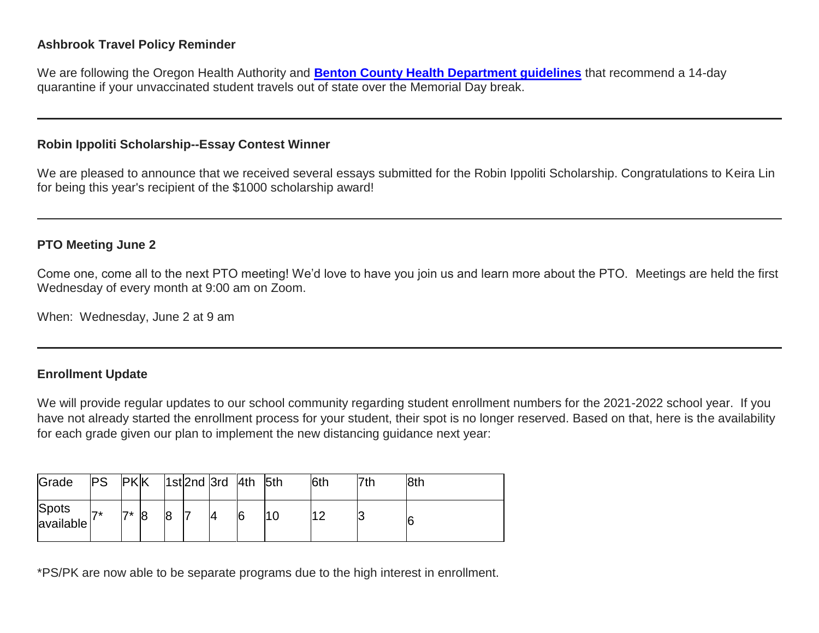## **Ashbrook Travel Policy Reminder**

We are following the Oregon Health Authority and **[Benton County Health Department guidelines](http://link.mystudentsprogress.com/ls/click?upn=n7jYKe39nC4PrVAw2BzaOolgU5XUleaJ61qfvNJxTW3uoi8RFzNYUfSc1qXdqajA34djZWrxIBJBxzp2whbybvqIYp3dDOkCDgKesziBdCnLKj4X5fOWo0F-2F461LFbAyuG12qu3CEEWEbpyBe394-2BW2dRByhI8M5oSui1imxmOc-3DjPAb_1PndbFfBoQGSZbxwXHHEexw3B2F0fG-2BUmuXm6a-2BX-2BzsT7ti3Jkkb26LgW1sW4QubRAhlCADc0zibS6cyEw2KCepQb4xi79b2G-2Fsmlu15SnlW2b-2BNn42U4fALW1veMTX-2Fn93-2BvrxZWu3Wag3cVjkD0E5UwVayyBvfrBKT-2FDjJvwhzOp2G-2BjoH6OX51-2BuazNkUFtxQ9t5rrZL5xa7sp0qXQb8RVczXGfpawixyjWBUthlaT6-2F67vaMyidNwJAyf6KaAu1-2FHRb0vqch7MpDn5lDFPd1eQDqYZ-2Bq-2FnoS2JlGau9ZUfptcsVEikiYvFiqZlmVkumzufeRgrUiPgARPfkOXAxDKQlt4M7wYT44dgYuLfJrcUhQ-2BiKg2VskfJSiBN0jzHGaW68ZRaD8TZ0U14o1NR0tS6VrRgPrmDWxH47w-2FyxF74-2FOg5RSHDhQKKV3GZ9N)** that recommend a 14-day quarantine if your unvaccinated student travels out of state over the Memorial Day break.

### **Robin Ippoliti Scholarship--Essay Contest Winner**

We are pleased to announce that we received several essays submitted for the Robin Ippoliti Scholarship. Congratulations to Keira Lin for being this year's recipient of the \$1000 scholarship award!

## **PTO Meeting June 2**

Come one, come all to the next PTO meeting! We'd love to have you join us and learn more about the PTO. Meetings are held the first Wednesday of every month at 9:00 am on Zoom.

When: Wednesday, June 2 at 9 am

# **Enrollment Update**

We will provide regular updates to our school community regarding student enrollment numbers for the 2021-2022 school year. If you have not already started the enrollment process for your student, their spot is no longer reserved. Based on that, here is the availability for each grade given our plan to implement the new distancing guidance next year:

| Grade              | <b>PS</b>           | <b>PKK</b> |    |    | 1st 2nd 3rd 4th |   | l5th | 6th | 7th | 8th |
|--------------------|---------------------|------------|----|----|-----------------|---|------|-----|-----|-----|
| Spots<br>available | $\rightarrow \star$ | ラォ         | 18 | 18 | 14              | 6 | 10   |     |     | 6   |

\*PS/PK are now able to be separate programs due to the high interest in enrollment.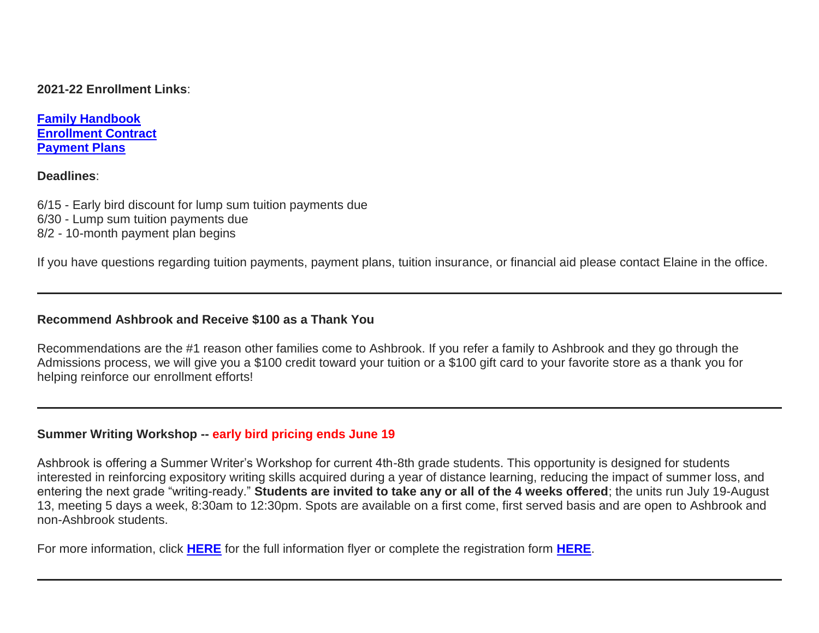**2021-22 Enrollment Links**:

**[Family Handbook](http://link.mystudentsprogress.com/ls/click?upn=n7jYKe39nC4PrVAw2BzaOolgU5XUleaJ61qfvNJxTW3uoi8RFzNYUfSc1qXdqajA34djZWrxIBJBxzp2whbybvqIYp3dDOkCDgKesziBdCm1u7J5UB6bwQicng-2BhFj8j9ZZ0Lb7IyRpSLLhbS8X-2BNE-2FsFTu5auQ5tTHoLi9o48o-3DzkmO_1PndbFfBoQGSZbxwXHHEexw3B2F0fG-2BUmuXm6a-2BX-2BzsT7ti3Jkkb26LgW1sW4QubRAhlCADc0zibS6cyEw2KCa5ARhkXAcCTpOHfoKM95N-2Fqwqfqu1AF1hOoufrxcSEYeFDdaW1iD5mP8iwvPPTkKq-2FOGcnmRx10hHVsUBo3hPKAcUcZL2TEENi7h9sMapU5bggqEFKeXO7yP4083m-2Byt-2B7AZyVdcXAC1UXw35Sv3g4dxC8plDtqGc60FacM4vcWt5gWSZ7-2FFqyLAYx0z02hPEwvMqnpQBrXdPd5aqB8LbD8iSvakJ0FuJKHrfcQwYZlj4duMzdptrgVs03fIwYLCp2AhetgKCtzpnBkBJfX92-2F8fW53f7tnE95Ojux7tT3ROd0bgS45i3YyV3zuZ1oueOLcxgWGPFjes05V6AfYWROkBlDt1FfmmNcIiRWFmzOT) [Enrollment Contract](http://link.mystudentsprogress.com/ls/click?upn=VTTLfIwNu5QFy05N-2BXKA7MM5XZ-2FaPNghD0e589AKGRWdKrXyK6-2Bm8bb1I1DfT5Io0Hv1qAH8mdM37znR5vOcFGB7DIQx2jp4xdjBwuqeZxT1Pjkge-2BjWLaV97kHLeMz5TQtiyRq8-2FrZ-2FtIkmMJcnCvTSbyF8-2BEnMtFIKrlq0nbyYLhMWqtk6N17cNuWkmBCi2eg-2FDcyJo-2FZoHU6aac7YTMbLoqiYM-2Bpq5ghj-2BCMqt1Q-3DKixN_1PndbFfBoQGSZbxwXHHEexw3B2F0fG-2BUmuXm6a-2BX-2BzsT7ti3Jkkb26LgW1sW4QubRAhlCADc0zibS6cyEw2KCc2q9JuzV0XgOtXGdfk-2F2YGH13ppgfE92VDRQrVzdobQ2qjuXulqB-2BJlBi86uKb-2Btbl0LFQjIQN3xeN7T03FlEcNnR-2FI1kVwG-2B3TKOHwE6gn5iDEdwBWCX8EtdFaVWD7MeLZCbiF0D1c0MSCIgmqu2DRkAsiquxfDRjjTOJxVZLLQGSnNBgneR4tEk2GtXWKKUa9ZvCRHZIBLq1pBj-2FziLMm5GD8E9Jn4o-2FUQhME7YZ3b3d34EbFQ22xf9fZV2L352X05mrqhDMyfH3xOKWdi-2FQxZ27d-2FUUtEhiwKFTHbTbInaiC0wGIYN7fT4GxgZS7gdj5twQ4eB3uyhNjjmguhg4TBpSDmqFKxxoMPlJS7eQd) [Payment Plans](http://link.mystudentsprogress.com/ls/click?upn=n7jYKe39nC4PrVAw2BzaOolgU5XUleaJ61qfvNJxTW3uoi8RFzNYUfSc1qXdqajA34djZWrxIBJBxzp2whbybvqIYp3dDOkCDgKesziBdClkeFpPmgMGrgcxNe5TC96odu91tl93IdUb7rzqL2LYFkOwDdym2keCOp3gkw-2Fos5E-3DNOPf_1PndbFfBoQGSZbxwXHHEexw3B2F0fG-2BUmuXm6a-2BX-2BzsT7ti3Jkkb26LgW1sW4QubRAhlCADc0zibS6cyEw2KCfb4lELFO4hfeKKBMkyoJ7FmdCQJf8DsWnBvKHvrhFU5P6vL-2Bmj8ifdKXpayBIzCp0iWncdWFW4hibnxjbYjsYIU8qY4HnQQgtQXQs9mZlBPqAWe-2FFsEMa8WMIfvYZmTslwLYpQ7vcKKoBLQsWwMvhoLlLJ3w6Jh-2BUCoX9uiZJTPmC66FmTS6HAmIWyGDlcjDNvgzkKpjtnxqRPQQr4fxH0oAqkRmCvgYTS-2FwolnBGLBPieXOGyG3haqZhsyjCiso1fTkQCivXYlVC4n4TiR43t0qD-2FBlF21Q0feg77643FO3MqQeKOfg2402UzWhBZLUHNx5DreDK8GTCKrQwpu8QMGUKFa40Gblw5WX3KQBSN3)**

#### **Deadlines**:

- 6/15 Early bird discount for lump sum tuition payments due
- 6/30 Lump sum tuition payments due
- 8/2 10-month payment plan begins

If you have questions regarding tuition payments, payment plans, tuition insurance, or financial aid please contact Elaine in the office.

# **Recommend Ashbrook and Receive \$100 as a Thank You**

Recommendations are the #1 reason other families come to Ashbrook. If you refer a family to Ashbrook and they go through the Admissions process, we will give you a \$100 credit toward your tuition or a \$100 gift card to your favorite store as a thank you for helping reinforce our enrollment efforts!

# **Summer Writing Workshop -- early bird pricing ends June 19**

Ashbrook is offering a Summer Writer's Workshop for current 4th-8th grade students. This opportunity is designed for students interested in reinforcing expository writing skills acquired during a year of distance learning, reducing the impact of summer loss, and entering the next grade "writing-ready." **Students are invited to take any or all of the 4 weeks offered**; the units run July 19-August 13, meeting 5 days a week, 8:30am to 12:30pm. Spots are available on a first come, first served basis and are open to Ashbrook and non-Ashbrook students.

For more information, click **[HERE](http://link.mystudentsprogress.com/ls/click?upn=n7jYKe39nC4PrVAw2BzaOolgU5XUleaJ61qfvNJxTW3uoi8RFzNYUfSc1qXdqajA34djZWrxIBJBxzp2whbybvqIYp3dDOkCDgKesziBdCmUFK611Dwx09bu-2FHGeGjMdYMdlKOkEJljN4aGLHb-2FYq2T0mejVJ9zz4sJVp9uFP1r-2FqIIxALPi9YeUjY-2FEHo0AABvg_1PndbFfBoQGSZbxwXHHEexw3B2F0fG-2BUmuXm6a-2BX-2BzsT7ti3Jkkb26LgW1sW4QubRAhlCADc0zibS6cyEw2KCUvsubwuZbhJpeQj4qVxoR5JObD9RsRTiYolX0-2B7UQENtD62-2Fz6NTewPXqXDRWvi4BQ7zz-2BYkmJ4U7X17Bb84UjHh3B9o4e-2BFWOZefIHA-2BDP6eaAFEedL2SvITqzE1H1p4TyylEuFYaSJ-2B8b0z4NKqJCUIW0RUVXUOaQ45EdfQ0bLS3JHmjn084c-2FW-2Bd5AJZJCuOVqDi13T3OHUzwLyIWlTIN8iLeK9OdwOf6GGKAcbXkDhuoY0oTGg5wKmiA9-2BZu2aV-2F8H7zywP4ZU-2FDUHNGjhPlsuMXteGQax7sGcFmQwVoaBn-2FcsXbkwBmgZMh22OMKKAom6Y53ubcPCbZhW7gsEqXrPGppe19uZToL6jp-2Bqr)** for the full information flyer or complete the registration form **[HERE](http://link.mystudentsprogress.com/ls/click?upn=qkro44VJaETWQ07zA-2B-2FiE0363Dmsi-2F5FxyhrW5Y7wr4-3DaC2T_1PndbFfBoQGSZbxwXHHEexw3B2F0fG-2BUmuXm6a-2BX-2BzsT7ti3Jkkb26LgW1sW4QubRAhlCADc0zibS6cyEw2KCVihVF0b9QKZRIM-2FqXXmqeS28IfG-2BBknAJqA6MDOfnIhK9W2IZYxjAVBMcrbsTGmMXyVTP7BzaT629clHdZhXDTopYnlOsQkI8HDeDX4Pz7Kmly7KD3ke1FN7-2BJG67f1MuKo-2FCOXzdpi45U2vCP36SSznyncEHpB1v1ioozn7MDiem3zw36c1PoE7EsrNpMYf2RQlmGp1VUMjsYwOrHa68-2BwLWX7OE14jwBmos2Vb1q6k19YRZkycKoYSoykfEeJ7KboZpsUUP-2BCfuDQdkvUD4Twbi-2F8ZjPbRbPr-2FIrhBNdGbPCIe0nZiwa0zw5vzh3-2Bs5ryJqpbTHW3fzLKZU18qq2Jr1ti-2FrBk1vIeQ46F6yuk)**.